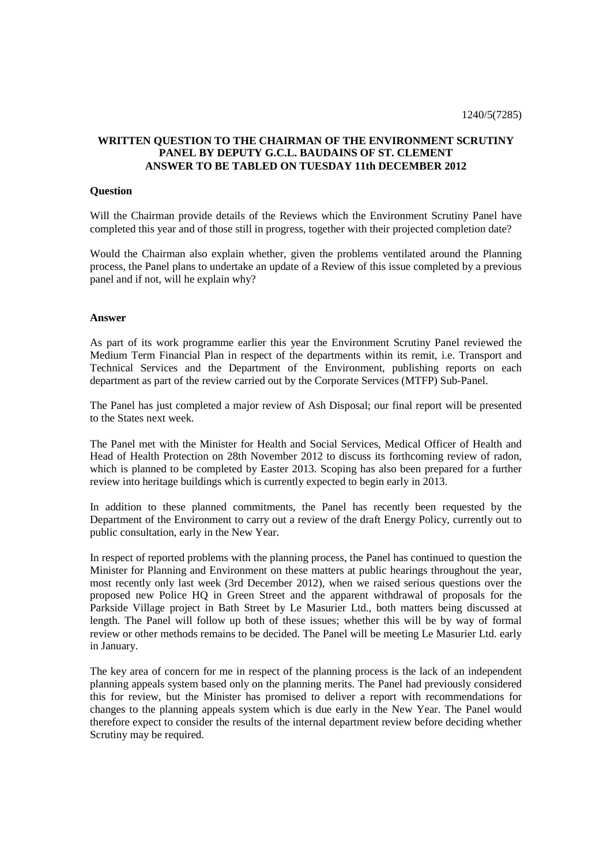## **WRITTEN QUESTION TO THE CHAIRMAN OF THE ENVIRONMENT SCRUTINY PANEL BY DEPUTY G.C.L. BAUDAINS OF ST. CLEMENT ANSWER TO BE TABLED ON TUESDAY 11th DECEMBER 2012**

## **Question**

Will the Chairman provide details of the Reviews which the Environment Scrutiny Panel have completed this year and of those still in progress, together with their projected completion date?

Would the Chairman also explain whether, given the problems ventilated around the Planning process, the Panel plans to undertake an update of a Review of this issue completed by a previous panel and if not, will he explain why?

## **Answer**

As part of its work programme earlier this year the Environment Scrutiny Panel reviewed the Medium Term Financial Plan in respect of the departments within its remit, i.e. Transport and Technical Services and the Department of the Environment, publishing reports on each department as part of the review carried out by the Corporate Services (MTFP) Sub-Panel.

The Panel has just completed a major review of Ash Disposal; our final report will be presented to the States next week.

The Panel met with the Minister for Health and Social Services, Medical Officer of Health and Head of Health Protection on 28th November 2012 to discuss its forthcoming review of radon, which is planned to be completed by Easter 2013. Scoping has also been prepared for a further review into heritage buildings which is currently expected to begin early in 2013.

In addition to these planned commitments, the Panel has recently been requested by the Department of the Environment to carry out a review of the draft Energy Policy, currently out to public consultation, early in the New Year.

In respect of reported problems with the planning process, the Panel has continued to question the Minister for Planning and Environment on these matters at public hearings throughout the year, most recently only last week (3rd December 2012), when we raised serious questions over the proposed new Police HQ in Green Street and the apparent withdrawal of proposals for the Parkside Village project in Bath Street by Le Masurier Ltd., both matters being discussed at length. The Panel will follow up both of these issues; whether this will be by way of formal review or other methods remains to be decided. The Panel will be meeting Le Masurier Ltd. early in January.

The key area of concern for me in respect of the planning process is the lack of an independent planning appeals system based only on the planning merits. The Panel had previously considered this for review, but the Minister has promised to deliver a report with recommendations for changes to the planning appeals system which is due early in the New Year. The Panel would therefore expect to consider the results of the internal department review before deciding whether Scrutiny may be required.